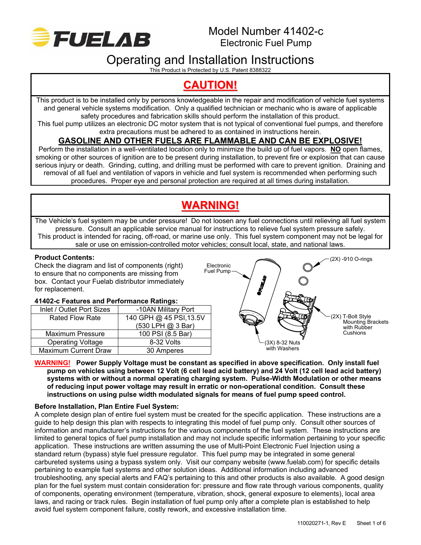

# Operating and Installation Instructions

This Product is Protected by U.S. Patent 8388322

## **CAUTION!**

This product is to be installed only by persons knowledgeable in the repair and modification of vehicle fuel systems and general vehicle systems modification. Only a qualified technician or mechanic who is aware of applicable safety procedures and fabrication skills should perform the installation of this product.

This fuel pump utilizes an electronic DC motor system that is not typical of conventional fuel pumps, and therefore extra precautions must be adhered to as contained in instructions herein.

## **GASOLINE AND OTHER FUELS ARE FLAMMABLE AND CAN BE EXPLOSIVE!**

Perform the installation in a well-ventilated location only to minimize the build up of fuel vapors. **NO** open flames, smoking or other sources of ignition are to be present during installation, to prevent fire or explosion that can cause serious injury or death. Grinding, cutting, and drilling must be performed with care to prevent ignition. Draining and removal of all fuel and ventilation of vapors in vehicle and fuel system is recommended when performing such procedures. Proper eye and personal protection are required at all times during installation.

# **WARNING!**

The Vehicle's fuel system may be under pressure! Do not loosen any fuel connections until relieving all fuel system pressure. Consult an applicable service manual for instructions to relieve fuel system pressure safely. This product is intended for racing, off-road, or marine use only. This fuel system component may not be legal for sale or use on emission-controlled motor vehicles; consult local, state, and national laws.

## **Product Contents:**

Check the diagram and list of components (right) to ensure that no components are missing from box. Contact your Fuelab distributor immediately for replacement.

### **41402-c Features and Performance Ratings:**

| Inlet / Outlet Port Sizes   | -10AN Military Port     |
|-----------------------------|-------------------------|
| <b>Rated Flow Rate</b>      | 140 GPH @ 45 PSI, 13.5V |
|                             | (530 LPH @ 3 Bar)       |
| <b>Maximum Pressure</b>     | 100 PSI (8.5 Bar)       |
| <b>Operating Voltage</b>    | 8-32 Volts              |
| <b>Maximum Current Draw</b> | 30 Amperes              |



#### **WARNING! Power Supply Voltage must be constant as specified in above specification. Only install fuel pump on vehicles using between 12 Volt (6 cell lead acid battery) and 24 Volt (12 cell lead acid battery) systems with or without a normal operating charging system. Pulse-Width Modulation or other means of reducing input power voltage may result in erratic or non-operational condition. Consult these instructions on using pulse width modulated signals for means of fuel pump speed control.**

## **Before Installation, Plan Entire Fuel System:**

A complete design plan of entire fuel system must be created for the specific application. These instructions are a guide to help design this plan with respects to integrating this model of fuel pump only. Consult other sources of information and manufacturer's instructions for the various components of the fuel system. These instructions are limited to general topics of fuel pump installation and may not include specific information pertaining to your specific application. These instructions are written assuming the use of Multi-Point Electronic Fuel Injection using a standard return (bypass) style fuel pressure regulator. This fuel pump may be integrated in some general carbureted systems using a bypass system only. Visit our company website (www.fuelab.com) for specific details pertaining to example fuel systems and other solution ideas. Additional information including advanced troubleshooting, any special alerts and FAQ's pertaining to this and other products is also available. A good design plan for the fuel system must contain consideration for: pressure and flow rate through various components, quality of components, operating environment (temperature, vibration, shock, general exposure to elements), local area laws, and racing or track rules. Begin installation of fuel pump only after a complete plan is established to help avoid fuel system component failure, costly rework, and excessive installation time.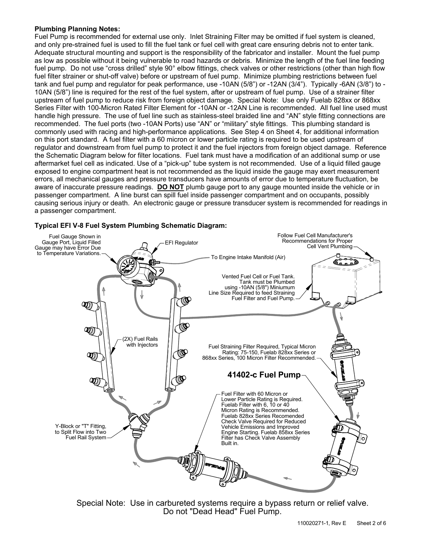#### **Plumbing Planning Notes:**

Fuel Pump is recommended for external use only. Inlet Straining Filter may be omitted if fuel system is cleaned, and only pre-strained fuel is used to fill the fuel tank or fuel cell with great care ensuring debris not to enter tank. Adequate structural mounting and support is the responsibility of the fabricator and installer. Mount the fuel pump as low as possible without it being vulnerable to road hazards or debris. Minimize the length of the fuel line feeding fuel pump. Do not use "cross drilled" style 90° elbow fittings, check valves or other restrictions (other than high flow fuel filter strainer or shut-off valve) before or upstream of fuel pump. Minimize plumbing restrictions between fuel tank and fuel pump and regulator for peak performance, use -10AN (5/8") or -12AN (3/4"). Typically -6AN (3/8") to - 10AN (5/8") line is required for the rest of the fuel system, after or upstream of fuel pump. Use of a strainer filter upstream of fuel pump to reduce risk from foreign object damage. Special Note: Use only Fuelab 828xx or 868xx Series Filter with 100-Micron Rated Filter Element for -10AN or -12AN Line is recommended. All fuel line used must handle high pressure. The use of fuel line such as stainless-steel braided line and "AN" style fitting connections are recommended. The fuel ports (two -10AN Ports) use "AN" or "military" style fittings. This plumbing standard is commonly used with racing and high-performance applications. See Step 4 on Sheet 4, for additional information on this port standard. A fuel filter with a 60 micron or lower particle rating is required to be used upstream of regulator and downstream from fuel pump to protect it and the fuel injectors from foreign object damage. Reference the Schematic Diagram below for filter locations. Fuel tank must have a modification of an additional sump or use aftermarket fuel cell as indicated. Use of a "pick-up" tube system is not recommended. Use of a liquid filled gauge exposed to engine compartment heat is not recommended as the liquid inside the gauge may exert measurement errors, all mechanical gauges and pressure transducers have amounts of error due to temperature fluctuation, be aware of inaccurate pressure readings. **DO NOT** plumb gauge port to any gauge mounted inside the vehicle or in passenger compartment. A line burst can spill fuel inside passenger compartment and on occupants, possibly causing serious injury or death. An electronic gauge or pressure transducer system is recommended for readings in a passenger compartment.

## **Typical EFI V-8 Fuel System Plumbing Schematic Diagram:**



Special Note: Use in carbureted systems require a bypass return or relief valve. Do not "Dead Head" Fuel Pump.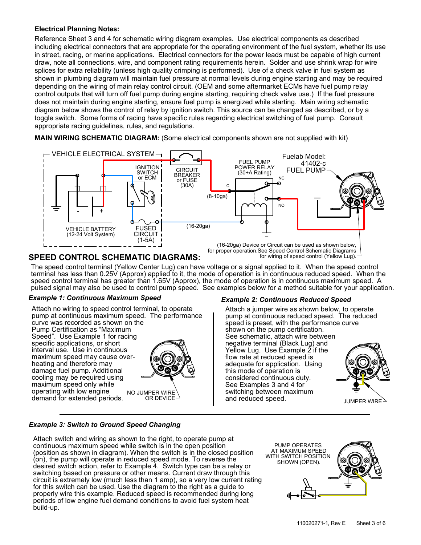### **Electrical Planning Notes:**

Reference Sheet 3 and 4 for schematic wiring diagram examples. Use electrical components as described including electrical connectors that are appropriate for the operating environment of the fuel system, whether its use in street, racing, or marine applications. Electrical connectors for the power leads must be capable of high current draw, note all connections, wire, and component rating requirements herein. Solder and use shrink wrap for wire splices for extra reliability (unless high quality crimping is performed). Use of a check valve in fuel system as shown in plumbing diagram will maintain fuel pressure at normal levels during engine starting and may be required depending on the wiring of main relay control circuit. (OEM and some aftermarket ECMs have fuel pump relay control outputs that will turn off fuel pump during engine starting, requiring check valve use.) If the fuel pressure does not maintain during engine starting, ensure fuel pump is energized while starting. Main wiring schematic diagram below shows the control of relay by ignition switch. This source can be changed as described, or by a toggle switch. Some forms of racing have specific rules regarding electrical switching of fuel pump. Consult appropriate racing guidelines, rules, and regulations.

**MAIN WIRING SCHEMATIC DIAGRAM:** (Some electrical components shown are not supplied with kit)



## **SPEED CONTROL SCHEMATIC DIAGRAMS:**

The speed control terminal (Yellow Center Lug) can have voltage or a signal applied to it. When the speed control terminal has less than 0.25V (Approx) applied to it, the mode of operation is in continuous reduced speed. When the speed control terminal has greater than 1.65V (Approx), the mode of operation is in continuous maximum speed. A pulsed signal may also be used to control pump speed. See examples below for a method suitable for your application.

#### *Example 1: Continuous Maximum Speed*

NO JUMPER WIRE OR DEVICE Attach no wiring to speed control terminal, to operate curve was recorded as shown on the Pump Certification as "Maximum Speed". Use Example 1 for racing specific applications, or short interval use. Use in continuous maximum speed may cause overheating and therefore may damage fuel pump. Additional cooling may be required using maximum speed only while operating with low engine pump at continuous maximum speed. The performance demand for extended periods.



#### *Example 2: Continuous Reduced Speed*

JUMPER WIRE $^{\scriptscriptstyle \searrow}$ this mode of operation is and reduced speed. considered continuous duty. See Examples 3 and 4 for switching between maximum See schematic, attach wire between negative terminal (Black Lug) and Yellow Lug. Use Example 2 if the flow rate at reduced speed is adequate for application. Using shown on the pump certification. Attach a jumper wire as shown below, to operate pump at continuous reduced speed. The reduced speed is preset, with the performance curve

### *Example 3: Switch to Ground Speed Changing*

Attach switch and wiring as shown to the right, to operate pump at continuous maximum speed while switch is in the open position (position as shown in diagram). When the switch is in the closed position (on), the pump will operate in reduced speed mode. To reverse the desired switch action, refer to Example 4. Switch type can be a relay or switching based on pressure or other means. Current draw through this circuit is extremely low (much less than 1 amp), so a very low current rating for this switch can be used. Use the diagram to the right as a guide to properly wire this example. Reduced speed is recommended during long periods of low engine fuel demand conditions to avoid fuel system heat build-up.

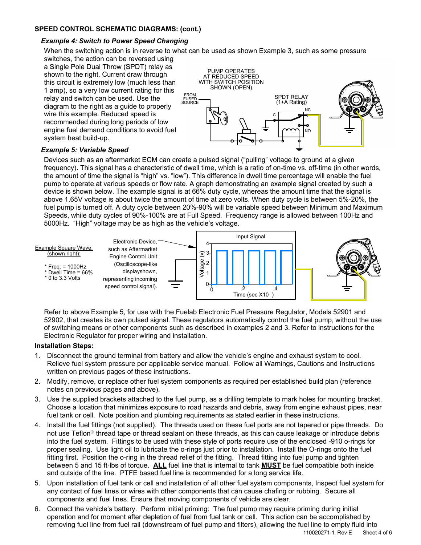### **SPEED CONTROL SCHEMATIC DIAGRAMS: (cont.)**

#### *Example 4: Switch to Power Speed Changing*

When the switching action is in reverse to what can be used as shown Example 3, such as some pressure

switches, the action can be reversed using a Single Pole Dual Throw (SPDT) relay as shown to the right. Current draw through this circuit is extremely low (much less than 1 amp), so a very low current rating for this relay and switch can be used. Use the diagram to the right as a guide to properly wire this example. Reduced speed is recommended during long periods of low engine fuel demand conditions to avoid fuel system heat build-up.



#### *Example 5: Variable Speed*

Devices such as an aftermarket ECM can create a pulsed signal ("pulling" voltage to ground at a given frequency). This signal has a characteristic of dwell time, which is a ratio of on-time vs. off-time (in other words, the amount of time the signal is "high" vs. "low"). This difference in dwell time percentage will enable the fuel pump to operate at various speeds or flow rate. A graph demonstrating an example signal created by such a device is shown below. The example signal is at 66% duty cycle, whereas the amount time that the signal is above 1.65V voltage is about twice the amount of time at zero volts. When duty cycle is between 5%-20%, the fuel pump is turned off. A duty cycle between 20%-90% will be variable speed between Minimum and Maximum Speeds, while duty cycles of 90%-100% are at Full Speed. Frequency range is allowed between 100Hz and 5000Hz. "High" voltage may be as high as the vehicle's voltage.



Refer to above Example 5, for use with the Fuelab Electronic Fuel Pressure Regulator, Models 52901 and 52902, that creates its own pulsed signal. These regulators automatically control the fuel pump, without the use of switching means or other components such as described in examples 2 and 3. Refer to instructions for the Electronic Regulator for proper wiring and installation.

#### **Installation Steps:**

- 1. Disconnect the ground terminal from battery and allow the vehicle's engine and exhaust system to cool. Relieve fuel system pressure per applicable service manual. Follow all Warnings, Cautions and Instructions written on previous pages of these instructions.
- 2. Modify, remove, or replace other fuel system components as required per established build plan (reference notes on previous pages and above).
- 3. Use the supplied brackets attached to the fuel pump, as a drilling template to mark holes for mounting bracket. Choose a location that minimizes exposure to road hazards and debris, away from engine exhaust pipes, near fuel tank or cell. Note position and plumbing requirements as stated earlier in these instructions.
- 4. Install the fuel fittings (not supplied). The threads used on these fuel ports are not tapered or pipe threads. Do not use Teflon<sup>®</sup> thread tape or thread sealant on these threads, as this can cause leakage or introduce debris into the fuel system. Fittings to be used with these style of ports require use of the enclosed -910 o-rings for proper sealing. Use light oil to lubricate the o-rings just prior to installation. Install the O-rings onto the fuel fitting first. Position the o-ring in the thread relief of the fitting. Thread fitting into fuel pump and tighten between 5 and 15 ftꞏlbs of torque. **ALL** fuel line that is internal to tank **MUST** be fuel compatible both inside and outside of the line. PTFE based fuel line is recommended for a long service life.
- 5. Upon installation of fuel tank or cell and installation of all other fuel system components, Inspect fuel system for any contact of fuel lines or wires with other components that can cause chafing or rubbing. Secure all components and fuel lines. Ensure that moving components of vehicle are clear.
- 6. Connect the vehicle's battery. Perform initial priming: The fuel pump may require priming during initial operation and for moment after depletion of fuel from fuel tank or cell. This action can be accomplished by removing fuel line from fuel rail (downstream of fuel pump and filters), allowing the fuel line to empty fluid into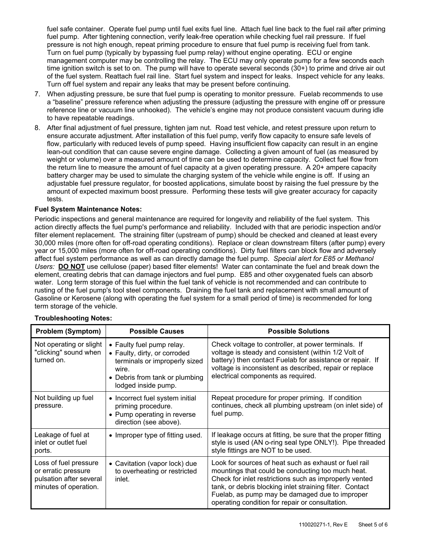fuel safe container. Operate fuel pump until fuel exits fuel line. Attach fuel line back to the fuel rail after priming fuel pump. After tightening connection, verify leak-free operation while checking fuel rail pressure. If fuel pressure is not high enough, repeat priming procedure to ensure that fuel pump is receiving fuel from tank. Turn on fuel pump (typically by bypassing fuel pump relay) without engine operating. ECU or engine management computer may be controlling the relay. The ECU may only operate pump for a few seconds each time ignition switch is set to on. The pump will have to operate several seconds (30+) to prime and drive air out of the fuel system. Reattach fuel rail line. Start fuel system and inspect for leaks. Inspect vehicle for any leaks. Turn off fuel system and repair any leaks that may be present before continuing.

- 7. When adjusting pressure, be sure that fuel pump is operating to monitor pressure. Fuelab recommends to use a "baseline" pressure reference when adjusting the pressure (adjusting the pressure with engine off or pressure reference line or vacuum line unhooked). The vehicle's engine may not produce consistent vacuum during idle to have repeatable readings.
- 8. After final adjustment of fuel pressure, tighten jam nut. Road test vehicle, and retest pressure upon return to ensure accurate adjustment. After installation of this fuel pump, verify flow capacity to ensure safe levels of flow, particularly with reduced levels of pump speed. Having insufficient flow capacity can result in an engine lean-out condition that can cause severe engine damage. Collecting a given amount of fuel (as measured by weight or volume) over a measured amount of time can be used to determine capacity. Collect fuel flow from the return line to measure the amount of fuel capacity at a given operating pressure. A 20+ ampere capacity battery charger may be used to simulate the charging system of the vehicle while engine is off. If using an adjustable fuel pressure regulator, for boosted applications, simulate boost by raising the fuel pressure by the amount of expected maximum boost pressure. Performing these tests will give greater accuracy for capacity tests.

#### **Fuel System Maintenance Notes:**

Periodic inspections and general maintenance are required for longevity and reliability of the fuel system. This action directly affects the fuel pump's performance and reliability. Included with that are periodic inspection and/or filter element replacement. The straining filter (upstream of pump) should be checked and cleaned at least every 30,000 miles (more often for off-road operating conditions). Replace or clean downstream filters (after pump) every year or 15,000 miles (more often for off-road operating conditions). Dirty fuel filters can block flow and adversely affect fuel system performance as well as can directly damage the fuel pump. *Special alert for E85 or Methanol Users:* **DO NOT** use cellulose (paper) based filter elements! Water can contaminate the fuel and break down the element, creating debris that can damage injectors and fuel pump. E85 and other oxygenated fuels can absorb water. Long term storage of this fuel within the fuel tank of vehicle is not recommended and can contribute to rusting of the fuel pump's tool steel components. Draining the fuel tank and replacement with small amount of Gasoline or Kerosene (along with operating the fuel system for a small period of time) is recommended for long term storage of the vehicle.

| <b>Problem (Symptom)</b>                                                                         | <b>Possible Causes</b>                                                                                                                                       | <b>Possible Solutions</b>                                                                                                                                                                                                                                                                                                             |
|--------------------------------------------------------------------------------------------------|--------------------------------------------------------------------------------------------------------------------------------------------------------------|---------------------------------------------------------------------------------------------------------------------------------------------------------------------------------------------------------------------------------------------------------------------------------------------------------------------------------------|
| Not operating or slight<br>"clicking" sound when<br>turned on.                                   | • Faulty fuel pump relay.<br>• Faulty, dirty, or corroded<br>terminals or improperly sized<br>wire.<br>• Debris from tank or plumbing<br>lodged inside pump. | Check voltage to controller, at power terminals. If<br>voltage is steady and consistent (within 1/2 Volt of<br>battery) then contact Fuelab for assistance or repair. If<br>voltage is inconsistent as described, repair or replace<br>electrical components as required.                                                             |
| Not building up fuel<br>pressure.                                                                | • Incorrect fuel system initial<br>priming procedure.<br>• Pump operating in reverse<br>direction (see above).                                               | Repeat procedure for proper priming. If condition<br>continues, check all plumbing upstream (on inlet side) of<br>fuel pump.                                                                                                                                                                                                          |
| Leakage of fuel at<br>inlet or outlet fuel<br>ports.                                             | • Improper type of fitting used.                                                                                                                             | If leakage occurs at fitting, be sure that the proper fitting<br>style is used (AN o-ring seal type ONLY!). Pipe threaded<br>style fittings are NOT to be used.                                                                                                                                                                       |
| Loss of fuel pressure<br>or erratic pressure<br>pulsation after several<br>minutes of operation. | • Cavitation (vapor lock) due<br>to overheating or restricted<br>inlet.                                                                                      | Look for sources of heat such as exhaust or fuel rail<br>mountings that could be conducting too much heat.<br>Check for inlet restrictions such as improperly vented<br>tank, or debris blocking inlet straining filter. Contact<br>Fuelab, as pump may be damaged due to improper<br>operating condition for repair or consultation. |

#### **Troubleshooting Notes:**